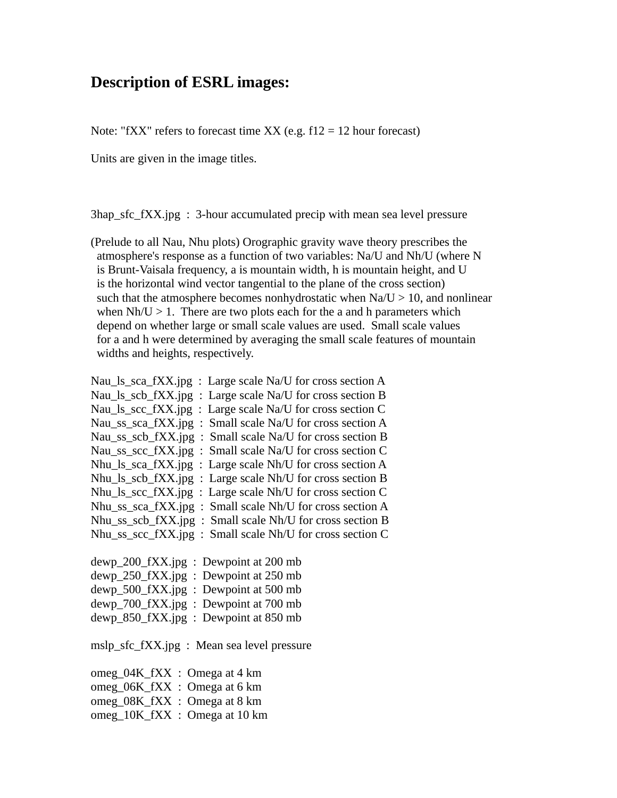## **Description of ESRL images:**

Note: "fXX" refers to forecast time  $XX$  (e.g.  $f12 = 12$  hour forecast)

Units are given in the image titles.

3hap\_sfc\_fXX.jpg : 3-hour accumulated precip with mean sea level pressure

(Prelude to all Nau, Nhu plots) Orographic gravity wave theory prescribes the atmosphere's response as a function of two variables: Na/U and Nh/U (where N is Brunt-Vaisala frequency, a is mountain width, h is mountain height, and U is the horizontal wind vector tangential to the plane of the cross section) such that the atmosphere becomes nonhydrostatic when  $Na/U > 10$ , and nonlinear when  $Nh/U > 1$ . There are two plots each for the a and h parameters which depend on whether large or small scale values are used. Small scale values for a and h were determined by averaging the small scale features of mountain widths and heights, respectively.

| Nau_ls_sca_fXX.jpg: Large scale Na/U for cross section A    |
|-------------------------------------------------------------|
| Nau_ls_scb_fXX.jpg: Large scale Na/U for cross section B    |
| Nau_ls_scc_fXX.jpg: Large scale Na/U for cross section C    |
| Nau_ss_sca_fXX.jpg: Small scale Na/U for cross section A    |
| Nau_ss_scb_fXX.jpg: Small scale Na/U for cross section B    |
| Nau_ss_scc_fXX.jpg: Small scale Na/U for cross section C    |
| Nhu_ls_sca_fXX.jpg: Large scale Nh/U for cross section A    |
| Nhu_ls_scb_fXX.jpg : Large scale $Nh/U$ for cross section B |
| Nhu_ls_scc_fXX.jpg: Large scale Nh/U for cross section C    |
| Nhu_ss_sca_fXX.jpg: Small scale Nh/U for cross section A    |
| Nhu_ss_scb_fXX.jpg: Small scale Nh/U for cross section B    |
| Nhu_ss_scc_fXX.jpg: Small scale Nh/U for cross section C    |
|                                                             |

```
dewp_200_fXX.jpg : Dewpoint at 200 mb
dewp_250_fXX.jpg : Dewpoint at 250 mb
dewp_500_fXX.jpg : Dewpoint at 500 mb
dewp_700_fXX.jpg : Dewpoint at 700 mb
dewp_850_fXX.jpg : Dewpoint at 850 mb
```
mslp\_sfc\_fXX.jpg : Mean sea level pressure

omeg\_04K\_fXX : Omega at 4 km omeg\_06K\_fXX : Omega at 6 km omeg\_08K\_fXX : Omega at 8 km omeg\_10K\_fXX : Omega at 10 km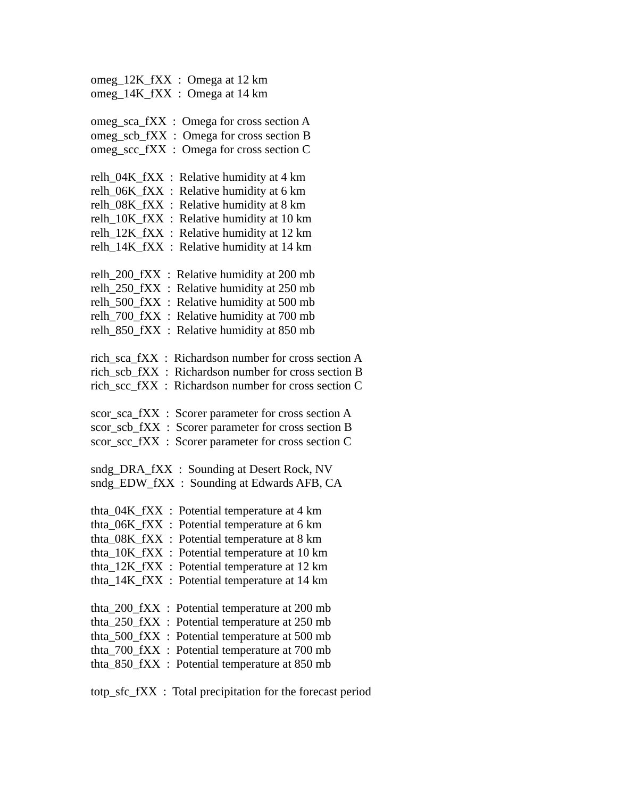omeg\_12K\_fXX : Omega at 12 km omeg\_14K\_fXX : Omega at 14 km omeg\_sca\_fXX : Omega for cross section A omeg\_scb\_fXX : Omega for cross section B omeg\_scc\_fXX : Omega for cross section C relh\_04K\_fXX : Relative humidity at 4 km relh\_06K\_fXX : Relative humidity at 6 km relh\_08K\_fXX : Relative humidity at 8 km relh\_10K\_fXX : Relative humidity at 10 km relh\_12K\_fXX : Relative humidity at 12 km relh\_14K\_fXX : Relative humidity at 14 km relh\_200\_fXX : Relative humidity at 200 mb relh 250 fXX : Relative humidity at 250 mb relh\_500\_fXX : Relative humidity at 500 mb relh\_700\_fXX : Relative humidity at 700 mb relh\_850\_fXX : Relative humidity at 850 mb rich sca fXX : Richardson number for cross section A rich scb fXX : Richardson number for cross section B rich\_scc\_fXX : Richardson number for cross section C scor\_sca\_fXX : Scorer parameter for cross section A scor\_scb\_fXX : Scorer parameter for cross section B scor\_scc\_fXX : Scorer parameter for cross section C sndg\_DRA\_fXX : Sounding at Desert Rock, NV sndg\_EDW\_fXX : Sounding at Edwards AFB, CA thta\_04K\_fXX : Potential temperature at 4 km thta\_06K\_fXX : Potential temperature at 6 km thta\_08K\_fXX : Potential temperature at 8 km thta\_10K\_fXX : Potential temperature at 10 km thta\_12K\_fXX : Potential temperature at 12 km thta\_14K\_fXX : Potential temperature at 14 km thta  $200 fXX$ : Potential temperature at  $200 mb$ thta  $250$  fXX : Potential temperature at 250 mb thta  $500 fXX$ : Potential temperature at  $500 mb$ thta  $700$   $fXX$  : Potential temperature at  $700$  mb thta\_850\_fXX : Potential temperature at 850 mb

totp\_sfc\_fXX : Total precipitation for the forecast period